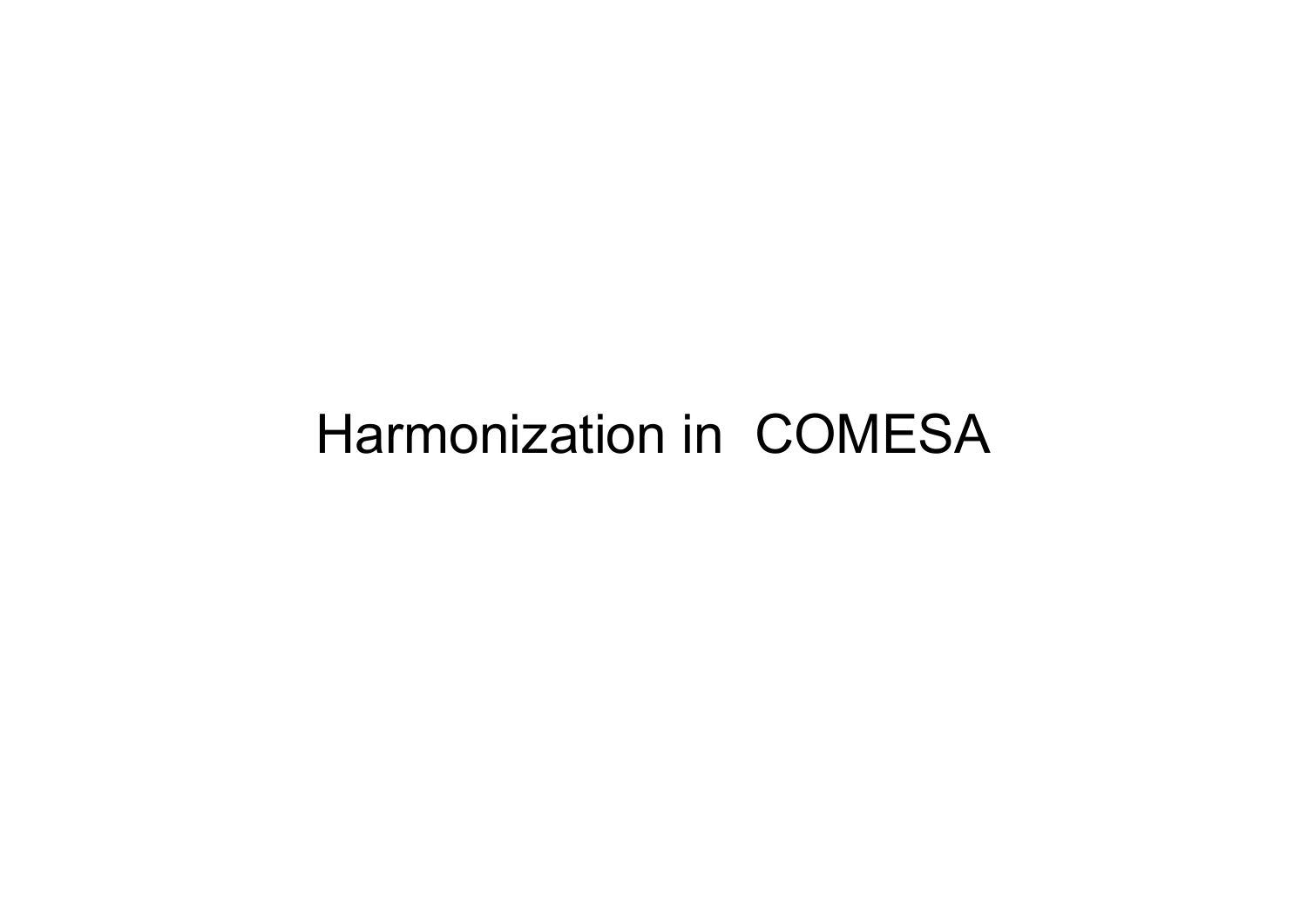## Harmonization in COMESA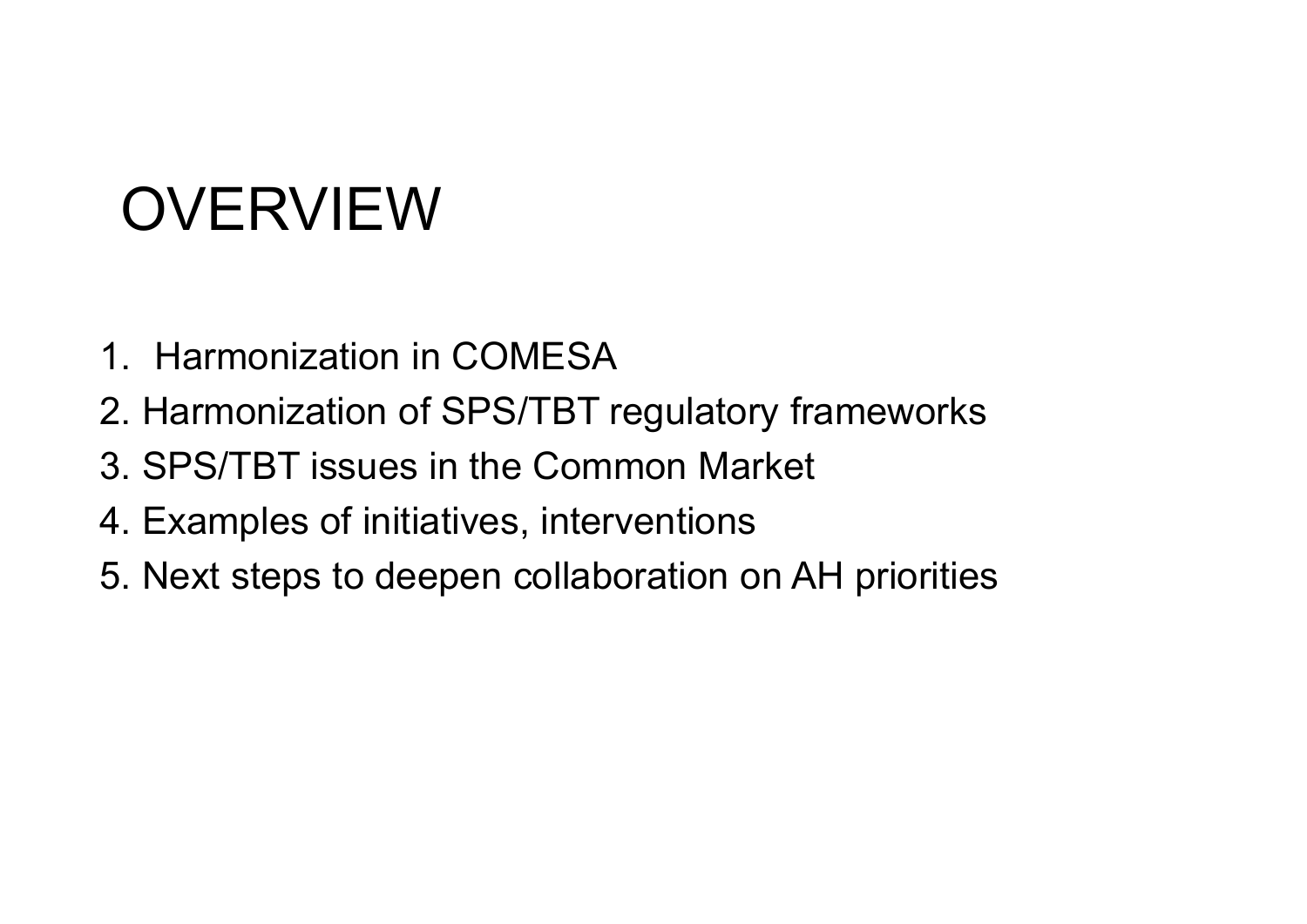# OVERVIEW

- 1. Harmonization in COMESA
- 2. Harmonization of SPS/TBT regulatory frameworks
- 3. SPS/TBT issues in the Common Market
- 4. Examples of initiatives, interventions
- 5. Next steps to deepen collaboration on AH priorities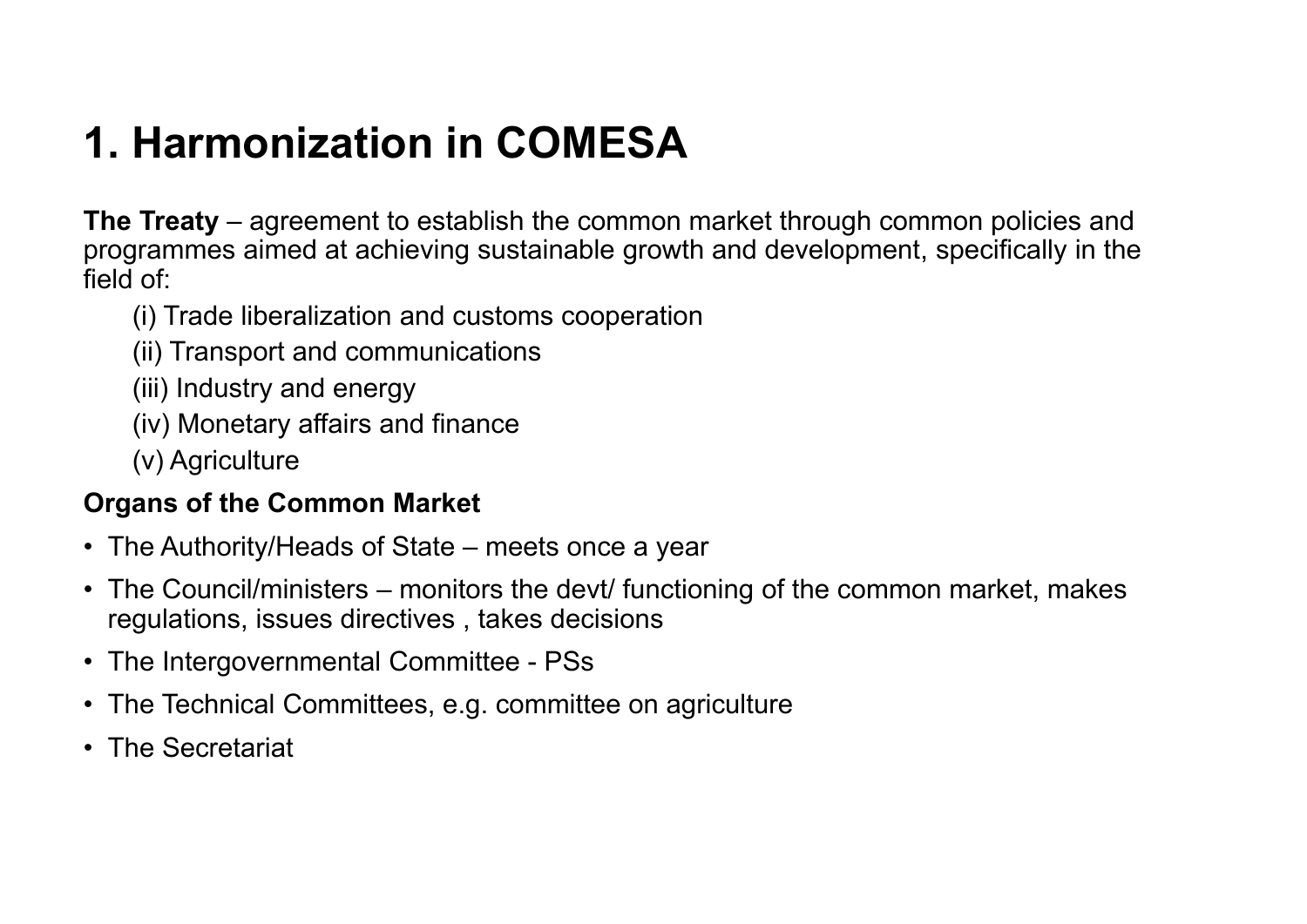### **1. Harmonization in COMESA**

**The Treaty** – agreement to establish the common market through common policies and programmes aimed at achieving sustainable growth and development, specifically in the field of:

- (i) Trade liberalization and customs cooperation
- (ii) Transport and communications
- (iii) Industry and energy
- (iv) Monetary affairs and finance
- (v) Agriculture

#### **Organs of the Common Market**

- The Authority/Heads of State meets once a year
- The Council/ministers monitors the devt/ functioning of the common market, makes regulations, issues directives , takes decisions
- The Intergovernmental Committee PSs
- The Technical Committees, e.g. committee on agriculture
- The Secretariat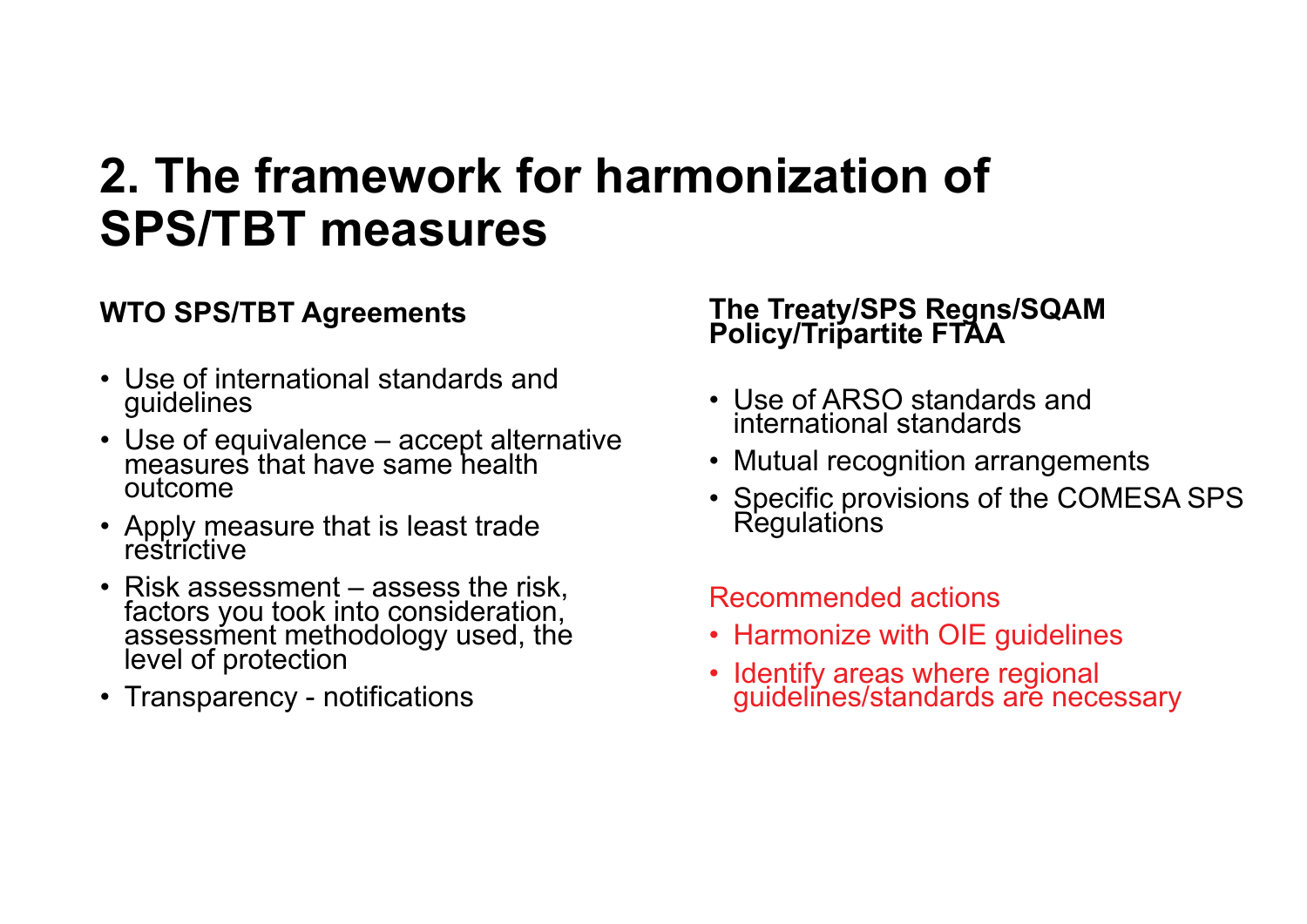## **2. The framework for harmonization of SPS/TBT measures**

#### **WTO SPS/TBT Agreements**

- Use of international standards and guidelines
- Use of equivalence accept alternative measures that have same health outcome
- Apply measure that is least trade restrictive
- Risk assessment assess the risk. Frisk assessment into consideration, assessment methodology used, the level of protection
- Transparency notifications

## **The Treaty/SPS Regns/SQAM Policy/Tripartite FTAA**

- Use of ARSO standards and international standards
- Mutual recognition arrangements
- Specific provisions of the COMESA SPS<br>Regulations

#### Recommended actions

- Harmonize with OIE guidelines
- Identify areas where regional Identify areas where regional guidelines/standards are necessary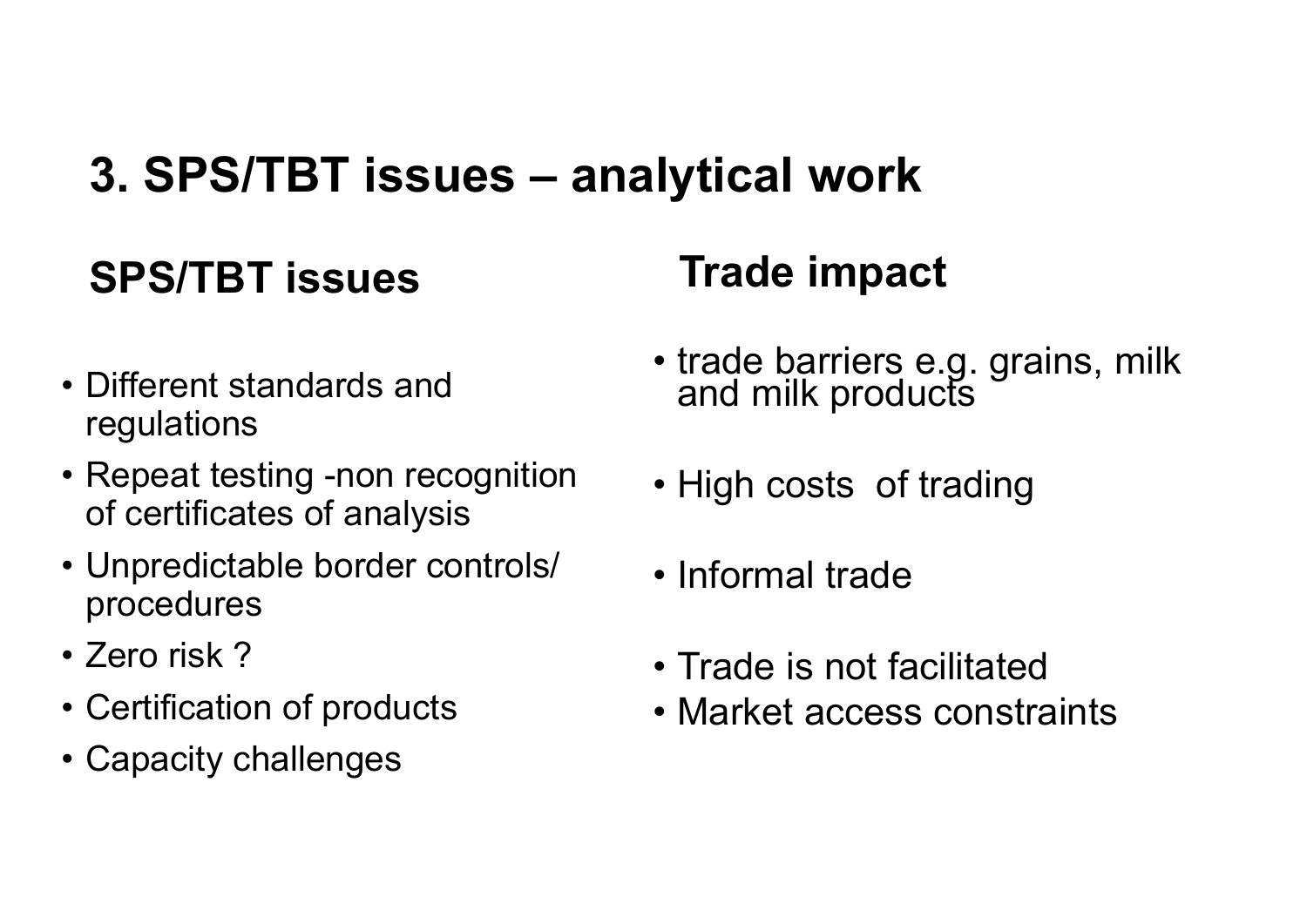## **3. SPS/TBT issues – analytical work**

### **SPS/TBT issues**

### **Trade impact**

- Different standards and regulations
- Repeat testing -non recognition of certificates of analysis
- Unpredictable border controls/ procedures
- Zero risk ?
- Certification of products
- Capacity challenges
- trade barriers e.g. grains, milk<br>and milk products
- High costs of trading
- Informal trade
- Trade is not facilitated
- Market access constraints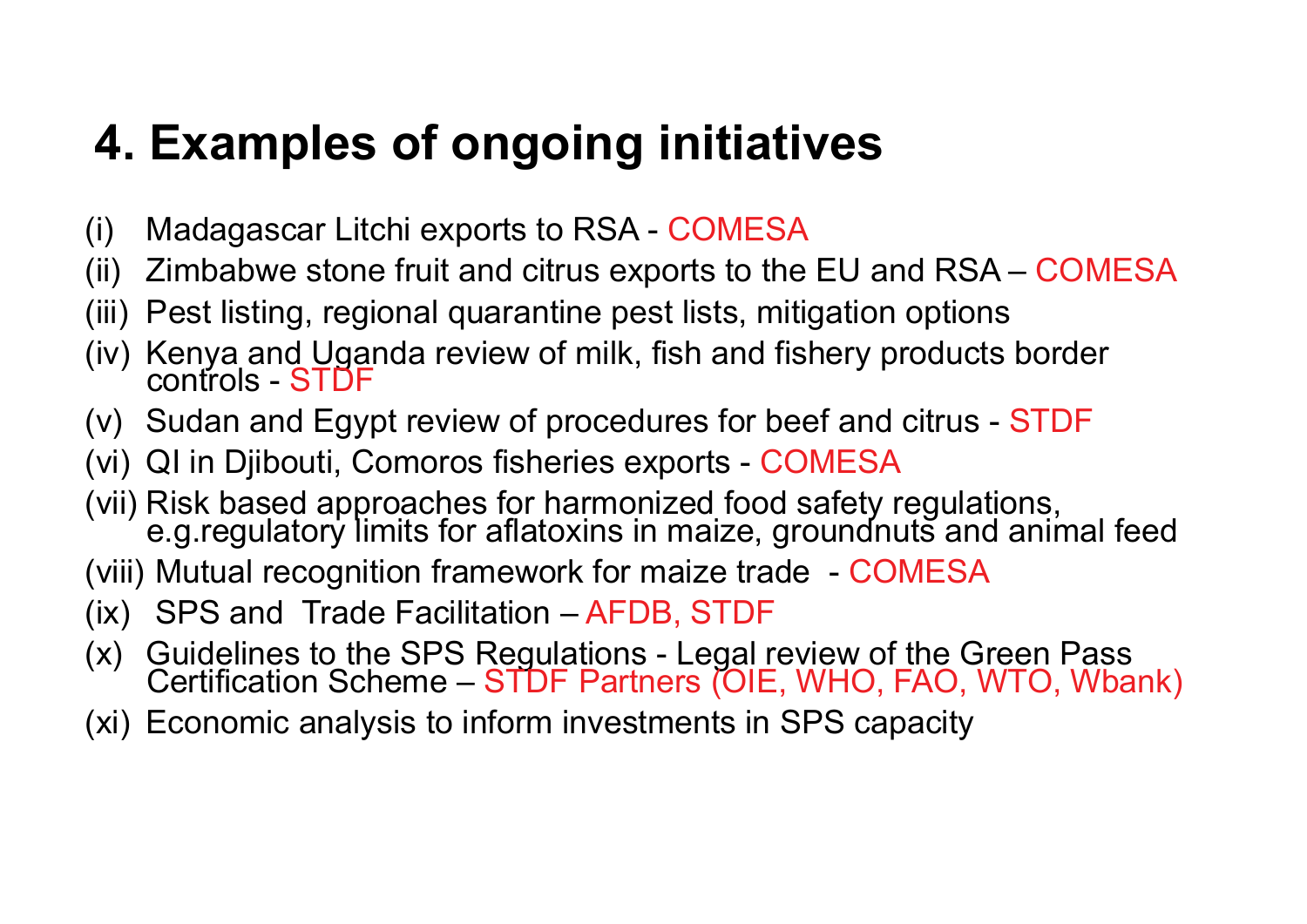## **4. Examples of ongoing initiatives**

- (i) Madagascar Litchi exports to RSA COMESA
- (ii) Zimbabwe stone fruit and citrus exports to the EU and RSA COMESA
- (iii) Pest listing, regional quarantine pest lists, mitigation options
- (iv) Kenya and Uganda review of milk, fish and fishery products border<br>controls STDF
- $(v)$  Sudan and Egypt review of procedures for beef and citrus STDF
- (vi) QI in Djibouti, Comoros fisheries exports COMESA
- (vii) Risk based approaches for harmonized food safety regulations, e.g.regulatory limits for aflatoxins in maize, groundnuts and animal feed
- (viii) Mutual recognition framework for maize trade COMESA
- (ix) SPS and Trade Facilitation AFDB, STDF
- (x) Guidelines to the SPS Regulations Legal review of the Green Pass<br>Certification Scheme STDF Partners (OIE, WHO, FAO, WTO, Wbank)
- (xi) Economic analysis to inform investments in SPS capacity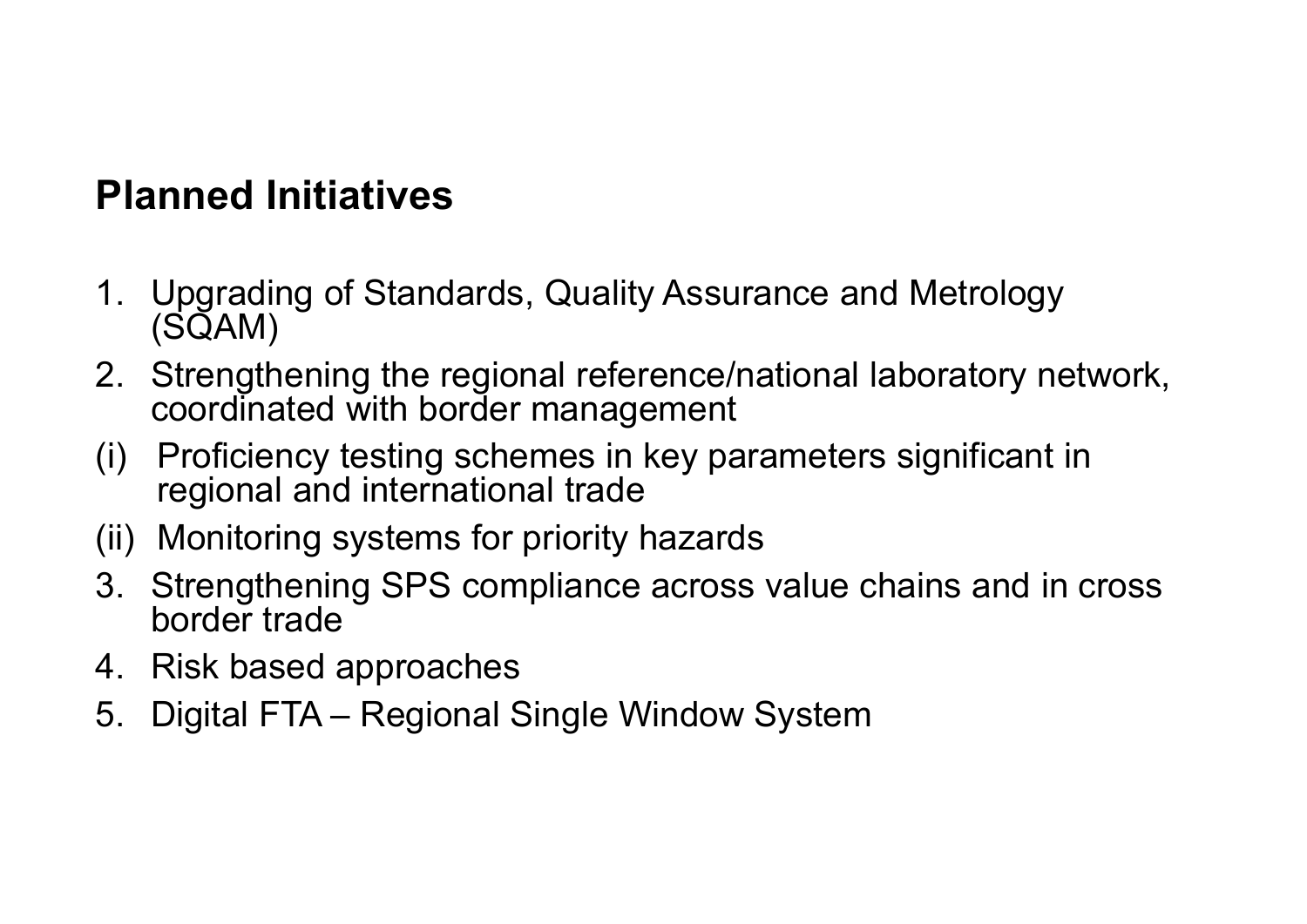### **Planned Initiatives**

- 1. Upgrading of Standards, Quality Assurance and Metrology (SQAM)
- 2. Strengthening the regional reference/national laboratory network, coordinated with border management
- (i) Proficiency testing schemes in key parameters significant in regional and international trade
- (ii) Monitoring systems for priority hazards
- 3. Strengthening SPS compliance across value chains and in cross border trade
- 4. Risk based approaches
- 5. Digital FTA Regional Single Window System